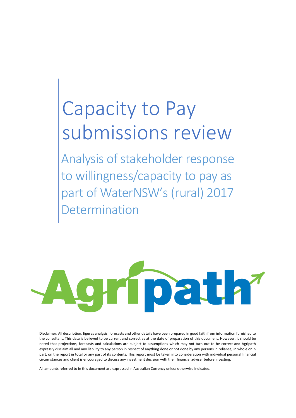# Capacity to Pay submissions review

Analysis of stakeholder response to willingness/capacity to pay as part of WaterNSW's (rural) 2017 etermination



Disclaimer: All description, figures analysis, forecasts and other details have been prepared in good faith from information furnished to the consultant. This data is believed to be current and correct as at the date of preparation of this document. However, it should be noted that projections, forecasts and calculations are subject to assumptions which may not turn out to be correct and Agripath expressly disclaim all and any liability to any person in respect of anything done or not done by any persons in reliance, in whole or in part, on the report in total or any part of its contents. This report must be taken into consideration with individual personal financial circumstances and client is encouraged to discuss any investment decision with their financial adviser before investing.

All amounts referred to in this document are expressed in Australian Currency unless otherwise indicated.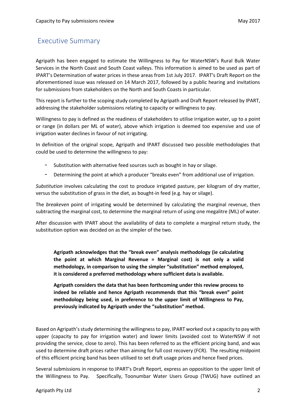# <span id="page-1-0"></span>Executive Summary

Agripath has been engaged to estimate the Willingness to Pay for WaterNSW's Rural Bulk Water Services in the North Coast and South Coast valleys. This information is aimed to be used as part of IPART's Determination of water prices in these areas from 1st July 2017. IPART's Draft Report on the aforementioned issue was released on 14 March 2017, followed by a public hearing and invitations for submissions from stakeholders on the North and South Coasts in particular.

This report is further to the scoping study completed by Agripath and Draft Report released by IPART, addressing the stakeholder submissions relating to capacity or willingness to pay.

Willingness to pay is defined as the readiness of stakeholders to utilise irrigation water, up to a point or range (in dollars per ML of water), above which irrigation is deemed too expensive and use of irrigation water declines in favour of not irrigating.

In definition of the original scope, Agripath and IPART discussed two possible methodologies that could be used to determine the willingness to pay:

- Substitution with alternative feed sources such as bought in hay or silage.
- Determining the point at which a producer "breaks even" from additional use of irrigation.

*Substitution* involves calculating the cost to produce irrigated pasture, per kilogram of dry matter, versus the substitution of grass in the diet, as bought-in feed (e.g. hay or silage).

The *breakeven* point of irrigating would be determined by calculating the marginal revenue, then subtracting the marginal cost, to determine the marginal return of using one megalitre (ML) of water.

After discussion with IPART about the availability of data to complete a marginal return study, the substitution option was decided on as the simpler of the two.

**Agripath acknowledges that the "break even" analysis methodology (ie calculating the point at which Marginal Revenue = Marginal cost) is not only a valid methodology, in comparison to using the simpler "substitution" method employed, it is considered a preferred methodology where sufficient data is available.**

**Agripath considers the data that has been forthcoming under this review process to indeed be reliable and hence Agripath recommends that this "break even" point methodology being used, in preference to the upper limit of Willingness to Pay, previously indicated by Agripath under the "substitution" method.** 

Based on Agripath's study determining the willingness to pay, IPART worked out a capacity to pay with upper (capacity to pay for irrigation water) and lower limits (avoided cost to WaterNSW if not providing the service, close to zero). This has been referred to as the efficient pricing band, and was used to determine draft prices rather than aiming for full cost recovery (FCR). The resulting midpoint of this efficient pricing band has been utilised to set draft usage prices and hence fixed prices.

Several submissions in response to IPART's Draft Report, express an opposition to the upper limit of the Willingness to Pay. Specifically, Toonumbar Water Users Group (TWUG) have outlined an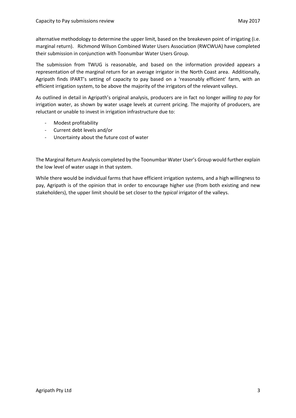alternative methodology to determine the upper limit, based on the breakeven point of irrigating (i.e. marginal return). Richmond Wilson Combined Water Users Association (RWCWUA) have completed their submission in conjunction with Toonumbar Water Users Group.

The submission from TWUG is reasonable, and based on the information provided appears a representation of the marginal return for an average irrigator in the North Coast area. Additionally, Agripath finds IPART's setting of capacity to pay based on a 'reasonably efficient' farm, with an efficient irrigation system, to be above the majority of the irrigators of the relevant valleys.

As outlined in detail in Agripath's original analysis, producers are in fact no longer *willing to pay* for irrigation water, as shown by water usage levels at current pricing. The majority of producers, are reluctant or unable to invest in irrigation infrastructure due to:

- Modest profitability
- Current debt levels and/or
- Uncertainty about the future cost of water

The Marginal Return Analysis completed by the Toonumbar Water User's Group would further explain the low level of water usage in that system.

While there would be individual farms that have efficient irrigation systems, and a high willingness to pay, Agripath is of the opinion that in order to encourage higher use (from both existing and new stakeholders), the upper limit should be set closer to the *typical* irrigator of the valleys.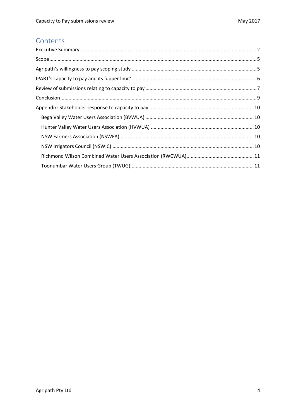# Contents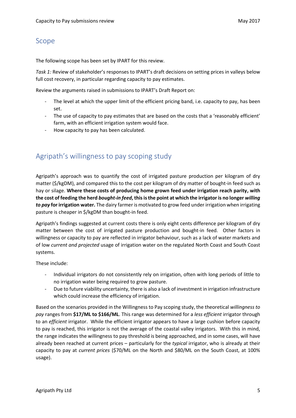## <span id="page-4-0"></span>Scope

The following scope has been set by IPART for this review.

*Task 1:* Review of stakeholder's responses to IPART's draft decisions on setting prices in valleys below full cost recovery, in particular regarding capacity to pay estimates.

Review the arguments raised in submissions to IPART's Draft Report on:

- The level at which the upper limit of the efficient pricing band, i.e. capacity to pay, has been set.
- The use of capacity to pay estimates that are based on the costs that a 'reasonably efficient' farm, with an efficient irrigation system would face.
- How capacity to pay has been calculated.

# <span id="page-4-1"></span>Agripath's willingness to pay scoping study

Agripath's approach was to quantify the cost of irrigated pasture production per kilogram of dry matter (\$/kgDM), and compared this to the cost per kilogram of dry matter of bought-in feed such as hay or silage. **Where these costs of producing home grown feed under irrigation reach parity, with the cost of feeding the herd** *bought-in feed***, this is the point at which the irrigator is no longer** *willing to pay* **for irrigation water.** The dairy farmer is motivated to grow feed under irrigation when irrigating pasture is cheaper in \$/kgDM than bought-in feed.

Agripath's findings suggested at current costs there is only eight cents difference per kilogram of dry matter between the cost of irrigated pasture production and bought-in feed. Other factors in willingness or capacity to pay are reflected in irrigator behaviour, such as a lack of water markets and of low *current and projected* usage of irrigation water on the regulated North Coast and South Coast systems.

These include:

- Individual irrigators do not consistently rely on irrigation, often with long periods of little to no irrigation water being required to grow pasture.
- Due to future viability uncertainty, there is also a lack of investment in irrigation infrastructure which could increase the efficiency of irrigation.

Based on the scenarios provided in the Willingness to Pay scoping study, the theoretical *willingness to pay* ranges from **\$17/ML to \$166/ML**. This range was determined for a *less efficient* irrigator through to an *efficient* irrigator. While the efficient irrigator appears to have a large cushion before capacity to pay is reached, this irrigator is not the average of the coastal valley irrigators. With this in mind, the range indicates the willingness to pay threshold is being approached, and in some cases, will have already been reached at current prices – particularly for the *typical* irrigator, who is already at their capacity to pay at *current prices* (\$70/ML on the North and \$80/ML on the South Coast, at 100% usage).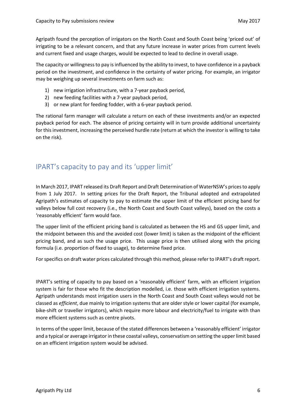Agripath found the perception of irrigators on the North Coast and South Coast being 'priced out' of irrigating to be a relevant concern, and that any future increase in water prices from current levels and current fixed and usage charges, would be expected to lead to decline in overall usage.

The capacity or willingness to pay is influenced by the ability to invest, to have confidence in a payback period on the investment, and confidence in the certainty of water pricing. For example, an irrigator may be weighing up several investments on farm such as:

- 1) new irrigation infrastructure, with a 7-year payback period,
- 2) new feeding facilities with a 7-year payback period,
- 3) or new plant for feeding fodder, with a 6-year payback period.

The rational farm manager will calculate a return on each of these investments and/or an expected payback period for each. The absence of pricing certainty will in turn provide additional uncertainty for this investment, increasing the perceived hurdle rate (return at which the investor is willing to take on the risk).

# <span id="page-5-0"></span>IPART's capacity to pay and its 'upper limit'

In March 2017, IPART released its Draft Report and Draft Determination of WaterNSW's prices to apply from 1 July 2017. In setting prices for the Draft Report, the Tribunal adopted and extrapolated Agripath's estimates of capacity to pay to estimate the upper limit of the efficient pricing band for valleys below full cost recovery (i.e., the North Coast and South Coast valleys), based on the costs a 'reasonably efficient' farm would face.

The upper limit of the efficient pricing band is calculated as between the HS and GS upper limit, and the midpoint between this and the avoided cost (lower limit) is taken as the midpoint of the efficient pricing band, and as such the usage price. This usage price is then utilised along with the pricing formula (i.e. proportion of fixed to usage), to determine fixed price.

For specifics on draft water prices calculated through this method, please refer to IPART's draft report.

IPART's setting of capacity to pay based on a 'reasonably efficient' farm, with an efficient irrigation system is fair for those who fit the description modelled, i.e. those with efficient irrigation systems. Agripath understands most irrigation users in the North Coast and South Coast valleys would not be classed as *efficient*, due mainly to irrigation systems that are older style or lower capital (for example, bike-shift or traveller irrigators), which require more labour and electricity/fuel to irrigate with than more efficient systems such as centre pivots.

In terms of the upper limit, because of the stated differences between a 'reasonably efficient' irrigator and a typical or average irrigator in these coastal valleys, conservatism on setting the upper limit based on an efficient irrigation system would be advised.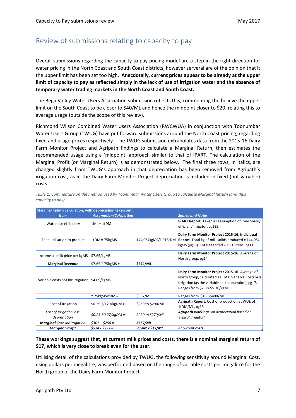# <span id="page-6-0"></span>Review of submissions relating to capacity to pay

Overall submissions regarding the capacity to pay pricing model are a step in the right direction for water pricing in the North Coast and South Coast districts, however serveral are of the opinion that it the upper limit has been set too high. **Anecdotally, current prices appear to be already at the upper limit of capacity to pay as reflected simply in the lack of use of irrigation water and the absence of temporary water trading markets in the North Coast and South Coast.**

The Bega Valley Water Users Association submission reflects this, commenting the believe the upper limit on the South Coast to be closer to \$40/ML and hence the midpoint closer to \$20, relating this to average usage (outside the scope of this review).

Richmond Wilson Combined Water Users Association (RWCWUA) in conjunction with Toonumbar Water Users Group (TWUG) have put forward submissions around the North Coast pricing, regarding fixed and usage prices respectively. The TWUG submission extrapolates data from the 2015-16 Dairy Farm Monitor Project and Agripath findings to calculate a Marginal Return, then estimates the recommended usage using a 'midpoint' approach similar to that of IPART. The calculation of the Marginal Profit (or Marginal Return) is as demonstrated below. The final three rows, in italics, are changed slightly from TWUG's approach in that depreciation has been removed from Agripath's irrigation cost, as in the Dairy Farm Monitor Project depreciation is included in fixed (not variable) costs.

| Marginal Return calculation, with depreciation taken out. |                               |                      |                                                                                                                                                                                                   |  |  |
|-----------------------------------------------------------|-------------------------------|----------------------|---------------------------------------------------------------------------------------------------------------------------------------------------------------------------------------------------|--|--|
| <b>Item</b>                                               | <b>Assumption/Calculation</b> |                      | <b>Source and Notes</b>                                                                                                                                                                           |  |  |
| Water use efficiency                                      | $1ML = 1tDM$                  |                      | <b>IPART Report.</b> Taken as assumption of 'reasonably<br>efficient' irrigator, pg139.                                                                                                           |  |  |
| Feed utilisation to product                               | $1tDM = 75kgMS$               | 144,064kgMS/1,918tDM | Dairy Farm Monitor Project 2015-16, Individual<br><b>Report.</b> Total kg of milk solids produced = 144,064<br>kgMS (pg13). Total feed fed = $1,918$ tDM (pg11).                                  |  |  |
| Income as milk price per kgMS \$7.65/kgMS                 |                               |                      | Dairy Farm Monitor Project 2015-16. Average of<br>North group, pg14.                                                                                                                              |  |  |
| <b>Marginal Revenue</b>                                   | $$7.65 * 75kgMS =$            | \$574/ML             |                                                                                                                                                                                                   |  |  |
| Variable costs not inc irrigation \$4.09/kgMS             |                               |                      | Dairy Farm Monitor Project 2015-16. Average of<br>North group, calculated as Total Variable Costs less<br>Irrigation (as the variable cost in question), pg17.<br>Ranges from \$2.38-\$5.36/kgMS. |  |  |
|                                                           | $*$ 75 $kgMS/tDM =$           | \$307/ML             | Ranges from \$180-\$400/ML.                                                                                                                                                                       |  |  |
| Cost of irrigation                                        | $$0.25 - $0.29/kgDM =$        | \$250 to \$290/ML    | Agripath Report. Cost of production at WUE of<br>1tDM/ML, pg16.                                                                                                                                   |  |  |
| Cost of irrigation less<br>depreciation                   | $$0.23$-$0.27/kgDM =$         | \$230 to \$270/ML    | Agripath workings on depreciation based on<br>'typical irrigator'.                                                                                                                                |  |  |
| <b>Marginal Cost</b> inc irrigation                       | $$307 + $250 =$               | \$557/ML             |                                                                                                                                                                                                   |  |  |
| <b>Marginal Profit</b>                                    | $$574 - $557 =$               | approx \$17/ML       | At current costs.                                                                                                                                                                                 |  |  |

*Table 1: Commentary on the method used by Toonumbar Water Users Group to calculate Marginal Return (and thus capacity to pay).*

#### **These workings suggest that, at current milk prices and costs, there is a nominal marginal return of \$17, which is very close to break even for the user.**

Utilising detail of the calculations provided by TWUG, the following sensitivity around Marginal Cost, using dollars per megalitre, was performed based on the range of variable costs per megalitre for the North group of the Dairy Farm Monitor Project.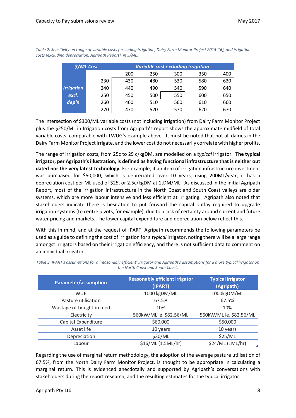| <b>\$/ML Cost</b> |     | <b>Variable cost excluding irrigation</b> |     |     |     |     |
|-------------------|-----|-------------------------------------------|-----|-----|-----|-----|
|                   |     | 200                                       | 250 | 300 | 350 | 400 |
|                   | 230 | 430                                       | 480 | 530 | 580 | 630 |
| <b>Irrigation</b> | 240 | 440                                       | 490 | 540 | 590 | 640 |
| excl.             | 250 | 450                                       | 500 | 550 | 600 | 650 |
| dep'n             | 260 | 460                                       | 510 | 560 | 610 | 660 |
|                   | 270 | 470                                       | 520 | 570 | 620 | 670 |

*Table 2: Sensitivity on range of variable costs (excluding irrigation, Dairy Farm Monitor Project 2015-16), and irrigation costs (excluding depreciation, Agripath Report), in \$/ML.*

The intersection of \$300/ML variable costs (not including irrigation) from Dairy Farm Monitor Project plus the \$250/ML in Irrigation costs from Agripath's report shows the approximate midfield of total variable costs, comparable with TWUG's example above. It must be noted that not all dairies in the Dairy Farm Monitor Project irrigate, and the lower cost do not necessarily correlate with higher profits.

The range of irrigation costs, from 25c to 29 c/kgDM, are modelled on a *typical* irrigator. **The typical irrigator, per Agripath's illustration, is defined as having functional infrastructure that is neither out dated nor the very latest technology.** For example, if an item of irrigation infrastructure investment was purchased for \$50,000, which is depreciated over 10 years, using 200ML/year, it has a depreciation cost per ML used of \$25, or 2.5c/kgDM at 1tDM/ML. As discussed in the initial Agripath Report, most of the irrigation infrastructure in the North Coast and South Coast valleys are older systems, which are more labour intensive and less efficient at irrigating. Agripath also noted that stakeholders indicate there is hesitation to put forward the capital outlay required to upgrade irrigation systems (to centre pivots, for example), due to a lack of certainty around current and future water pricing and markets. The lower capital expenditure and depreciation below reflect this.

With this in mind, and at the request of IPART, Agripath recommends the following parameters be used as a guide to defining the cost of irrigation for a *typical* irrigator, noting there will be a large range amongst irrigators based on their irrigation efficiency, and there is not sufficient data to comment on an individual irrigator.

| Parameter/assumption      | <b>Reasonably efficient irrigator</b><br>(IPART) | <b>Typical irrigator</b><br>(Agripath) |
|---------------------------|--------------------------------------------------|----------------------------------------|
| <b>WUE</b>                | 1000 kgDM/ML                                     | 1000kgDM/ML                            |
| Pasture utilisation       | 67.5%                                            | 67.5%                                  |
| Wastage of bought-in feed | 10%                                              | 10%                                    |
| Electricity               | 560kW/ML ie, \$82.56/ML                          | 560kW/ML ie, \$82.56/ML                |
| Capital Expenditure       | \$60,000                                         | \$50,000                               |
| Asset life                | 10 years                                         | 10 years                               |
| Depreciation              | \$30/ML                                          | \$25/ML                                |
| Labour                    | \$16/ML (1.5ML/hr)                               | \$24/ML (1ML/hr)                       |

*Table 3: IPART's assumptions for a 'reasonably efficient' irrigator and Agripath's assumptions for a more typical irrigator on the North Coast and South Coast.*

Regarding the use of marginal return methodology, the adoption of the average pasture utilisation of 67.5%, from the North Dairy Farm Monitor Project, is thought to be appropriate in calculating a marginal return. This is evidenced anecdotally and supported by Agripath's conversations with stakeholders during the report research, and the resulting estimates for the typical irrigator.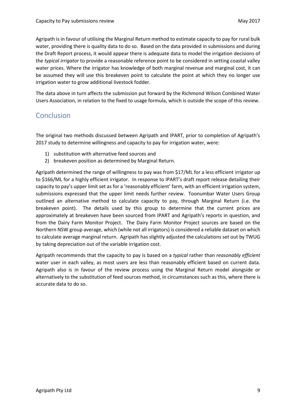Agripath is in favour of utilising the Marginal Return method to estimate capacity to pay for rural bulk water, providing there is quality data to do so. Based on the data provided in submissions and during the Draft Report process, it would appear there is adequate data to model the irrigation decisions of the *typical irrigator* to provide a reasonable reference point to be considered in setting coastal valley water prices. Where the irrigator has knowledge of both marginal revenue and marginal cost, it can be assumed they will use this breakeven point to calculate the point at which they no longer use irrigation water to grow additional livestock fodder.

The data above in turn affects the submission put forward by the Richmond Wilson Combined Water Users Association, in relation to the fixed to usage formula, which is outside the scope of this review.

## <span id="page-8-0"></span>Conclusion

The original two methods discussed between Agripath and IPART, prior to completion of Agripath's 2017 study to determine willingness and capacity to pay for irrigation water, were:

- 1) substitution with alternative feed sources and
- 2) breakeven position as determined by Marginal Return.

Agripath determined the range of willingness to pay was from \$17/ML for a less efficient irrigator up to \$166/ML for a highly efficient irrigator. In response to IPART's draft report release detailing their capacity to pay's upper limit set as for a 'reasonably efficient' farm, with an efficient irrigation system, submissions expressed that the upper limit needs further review. Toonumbar Water Users Group outlined an alternative method to calculate capacity to pay, through Marginal Return (i.e. the breakeven point). The details used by this group to determine that the current prices are approximately at breakeven have been sourced from IPART and Agripath's reports in question, and from the Dairy Farm Monitor Project. The Dairy Farm Monitor Project sources are based on the Northern NSW group average, which (while not all irrigators) is considered a reliable dataset on which to calculate average marginal return. Agripath has slightly adjusted the calculations set out by TWUG by taking depreciation out of the variable irrigation cost.

Agripath recommends that the capacity to pay is based on a *typical* rather than *reasonably efficient* water user in each valley, as most users are less than reasonably efficient based on current data. Agripath also is in favour of the review process using the Marginal Return model alongside or alternatively to the substitution of feed sources method, in circumstances such as this, where there is accurate data to do so.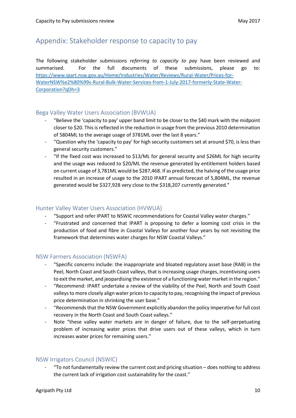## <span id="page-9-0"></span>Appendix: Stakeholder response to capacity to pay

The following stakeholder submissions *referring to capacity to pay* have been reviewed and summarised. For the full documents of these submissions, please go to: [https://www.ipart.nsw.gov.au/Home/Industries/Water/Reviews/Rural-Water/Prices-for-](https://www.ipart.nsw.gov.au/Home/Industries/Water/Reviews/Rural-Water/Prices-for-WaterNSW%e2%80%99s-Rural-Bulk-Water-Services-from-1-July-2017-formerly-State-Water-Corporation?qDh=3)[WaterNSW%e2%80%99s-Rural-Bulk-Water-Services-from-1-July-2017-formerly-State-Water-](https://www.ipart.nsw.gov.au/Home/Industries/Water/Reviews/Rural-Water/Prices-for-WaterNSW%e2%80%99s-Rural-Bulk-Water-Services-from-1-July-2017-formerly-State-Water-Corporation?qDh=3)[Corporation?qDh=3](https://www.ipart.nsw.gov.au/Home/Industries/Water/Reviews/Rural-Water/Prices-for-WaterNSW%e2%80%99s-Rural-Bulk-Water-Services-from-1-July-2017-formerly-State-Water-Corporation?qDh=3)

## <span id="page-9-1"></span>Bega Valley Water Users Association (BVWUA)

- "Believe the 'capacity to pay' upper band limit to be closer to the \$40 mark with the midpoint closer to \$20. This is reflected in the reduction in usage from the previous 2010 determination of 5804ML to the average usage of 3781ML over the last 8 years."
- "Question why the 'capacity to pay' for high security customers set at around \$70, is less than general security customers."
- "If the fixed cost was increased to \$13/ML for general security and \$26ML for high security and the usage was reduced to \$20/ML the revenue generated by entitlement holders based on current usage of 3,781ML would be \$287,468. If as predicted, the halving of the usage price resulted in an increase of usage to the 2010 IPART annual forecast of 5,804ML, the revenue generated would be \$327,928 very close to the \$318,207 currently generated."

#### <span id="page-9-2"></span>Hunter Valley Water Users Association (HVWUA)

- "Support and refer IPART to NSWIC recommendations for Coastal Valley water charges."
- "Frustrated and concerned that IPART is proposing to defer a looming cost crisis in the production of food and fibre in Coastal Valleys for another four years by not revisiting the framework that determines water charges for NSW Coastal Valleys."

## <span id="page-9-3"></span>NSW Farmers Association (NSWFA)

- "Specific concerns include: the inappropriate and bloated regulatory asset base (RAB) in the Peel, North Coast and South Coast valleys, that is increasing usage charges, incentivising users to exit the market, and jeopardising the existence of a functioning water market in the region."
- "Recommend: IPART undertake a review of the viability of the Peel, North and South Coast valleys to more closely align water prices to capacity to pay, recognising the impact of previous price determination in shrinking the user base."
- "Recommends that the NSW Government explicitly abandon the policy imperative for full cost recovery in the North Coast and South Coast valleys."
- Note "these valley water markets are in danger of failure, due to the self-perpetuating problem of increasing water prices that drive users out of these valleys, which in turn increases water prices for remaining users."

## <span id="page-9-4"></span>NSW Irrigators Council (NSWIC)

- "To not fundamentally review the current cost and pricing situation – does nothing to address the current lack of irrigation cost sustainability for the coast."